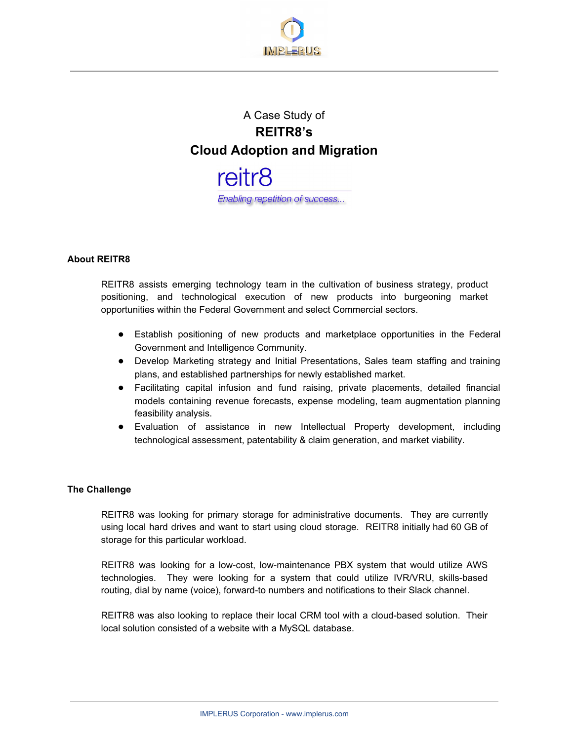

# A Case Study of **REITR8's Cloud Adoption and Migration**



# **About REITR8**

REITR8 assists emerging technology team in the cultivation of business strategy, product positioning, and technological execution of new products into burgeoning market opportunities within the Federal Government and select Commercial sectors.

- Establish positioning of new products and marketplace opportunities in the Federal Government and Intelligence Community.
- Develop Marketing strategy and Initial Presentations, Sales team staffing and training plans, and established partnerships for newly established market.
- Facilitating capital infusion and fund raising, private placements, detailed financial models containing revenue forecasts, expense modeling, team augmentation planning feasibility analysis.
- Evaluation of assistance in new Intellectual Property development, including technological assessment, patentability & claim generation, and market viability.

#### **The Challenge**

REITR8 was looking for primary storage for administrative documents. They are currently using local hard drives and want to start using cloud storage. REITR8 initially had 60 GB of storage for this particular workload.

REITR8 was looking for a low-cost, low-maintenance PBX system that would utilize AWS technologies. They were looking for a system that could utilize IVR/VRU, skills-based routing, dial by name (voice), forward-to numbers and notifications to their Slack channel.

REITR8 was also looking to replace their local CRM tool with a cloud-based solution. Their local solution consisted of a website with a MySQL database.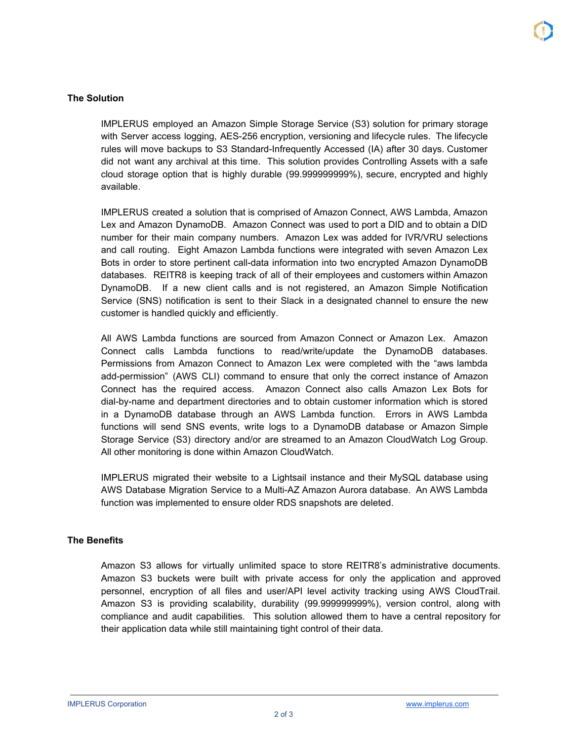## **The Solution**

IMPLERUS employed an Amazon Simple Storage Service (S3) solution for primary storage with Server access logging, AES-256 encryption, versioning and lifecycle rules. The lifecycle rules will move backups to S3 Standard-Infrequently Accessed (IA) after 30 days. Customer did not want any archival at this time. This solution provides Controlling Assets with a safe cloud storage option that is highly durable (99.999999999%), secure, encrypted and highly available.

IMPLERUS created a solution that is comprised of Amazon Connect, AWS Lambda, Amazon Lex and Amazon DynamoDB. Amazon Connect was used to port a DID and to obtain a DID number for their main company numbers. Amazon Lex was added for IVR/VRU selections and call routing. Eight Amazon Lambda functions were integrated with seven Amazon Lex Bots in order to store pertinent call-data information into two encrypted Amazon DynamoDB databases. REITR8 is keeping track of all of their employees and customers within Amazon DynamoDB. If a new client calls and is not registered, an Amazon Simple Notification Service (SNS) notification is sent to their Slack in a designated channel to ensure the new customer is handled quickly and efficiently.

All AWS Lambda functions are sourced from Amazon Connect or Amazon Lex. Amazon Connect calls Lambda functions to read/write/update the DynamoDB databases. Permissions from Amazon Connect to Amazon Lex were completed with the "aws lambda add-permission" (AWS CLI) command to ensure that only the correct instance of Amazon Connect has the required access. Amazon Connect also calls Amazon Lex Bots for dial-by-name and department directories and to obtain customer information which is stored in a DynamoDB database through an AWS Lambda function. Errors in AWS Lambda functions will send SNS events, write logs to a DynamoDB database or Amazon Simple Storage Service (S3) directory and/or are streamed to an Amazon CloudWatch Log Group. All other monitoring is done within Amazon CloudWatch.

IMPLERUS migrated their website to a Lightsail instance and their MySQL database using AWS Database Migration Service to a Multi-AZ Amazon Aurora database. An AWS Lambda function was implemented to ensure older RDS snapshots are deleted.

# **The Benefits**

Amazon S3 allows for virtually unlimited space to store REITR8's administrative documents. Amazon S3 buckets were built with private access for only the application and approved personnel, encryption of all files and user/API level activity tracking using AWS CloudTrail. Amazon S3 is providing scalability, durability (99.999999999%), version control, along with compliance and audit capabilities. This solution allowed them to have a central repository for their application data while still maintaining tight control of their data.